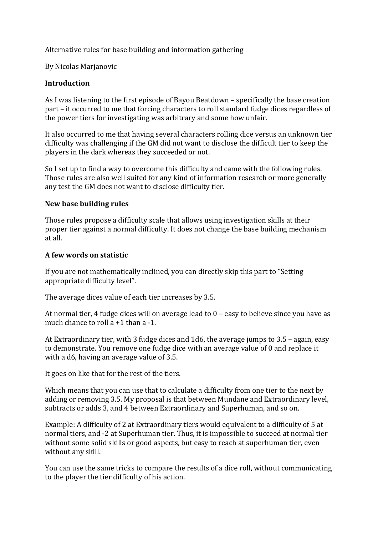Alternative rules for base building and information gathering

By Nicolas Marjanovic

#### **Introduction**

As I was listening to the first episode of Bayou Beatdown – specifically the base creation part – it occurred to me that forcing characters to roll standard fudge dices regardless of the power tiers for investigating was arbitrary and some how unfair.

It also occurred to me that having several characters rolling dice versus an unknown tier difficulty was challenging if the GM did not want to disclose the difficult tier to keep the players in the dark whereas they succeeded or not.

So I set up to find a way to overcome this difficulty and came with the following rules. Those rules are also well suited for any kind of information research or more generally any test the GM does not want to disclose difficulty tier.

#### **New base building rules**

Those rules propose a difficulty scale that allows using investigation skills at their proper tier against a normal difficulty. It does not change the base building mechanism at all.

### **A few words on statistic**

If you are not mathematically inclined, you can directly skip this part to "Setting appropriate difficulty level".

The average dices value of each tier increases by 3.5.

At normal tier, 4 fudge dices will on average lead to 0 – easy to believe since you have as much chance to roll a +1 than a -1.

At Extraordinary tier, with 3 fudge dices and 1d6, the average jumps to 3.5 – again, easy to demonstrate. You remove one fudge dice with an average value of 0 and replace it with a d6, having an average value of 3.5.

It goes on like that for the rest of the tiers.

Which means that you can use that to calculate a difficulty from one tier to the next by adding or removing 3.5. My proposal is that between Mundane and Extraordinary level, subtracts or adds 3, and 4 between Extraordinary and Superhuman, and so on.

Example: A difficulty of 2 at Extraordinary tiers would equivalent to a difficulty of 5 at normal tiers, and -2 at Superhuman tier. Thus, it is impossible to succeed at normal tier without some solid skills or good aspects, but easy to reach at superhuman tier, even without any skill.

You can use the same tricks to compare the results of a dice roll, without communicating to the player the tier difficulty of his action.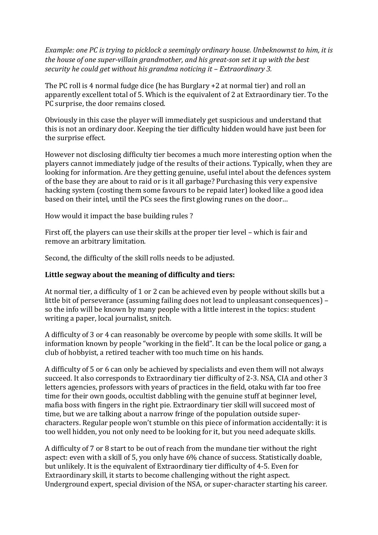*Example: one PC is trying to picklock a seemingly ordinary house. Unbeknownst to him, it is the house of one super-villain grandmother, and his great-son set it up with the best security he could get without his grandma noticing it – Extraordinary 3.*

The PC roll is 4 normal fudge dice (he has Burglary +2 at normal tier) and roll an apparently excellent total of 5. Which is the equivalent of 2 at Extraordinary tier. To the PC surprise, the door remains closed.

Obviously in this case the player will immediately get suspicious and understand that this is not an ordinary door. Keeping the tier difficulty hidden would have just been for the surprise effect.

However not disclosing difficulty tier becomes a much more interesting option when the players cannot immediately judge of the results of their actions. Typically, when they are looking for information. Are they getting genuine, useful intel about the defences system of the base they are about to raid or is it all garbage? Purchasing this very expensive hacking system (costing them some favours to be repaid later) looked like a good idea based on their intel, until the PCs sees the first glowing runes on the door…

How would it impact the base building rules ?

First off, the players can use their skills at the proper tier level – which is fair and remove an arbitrary limitation.

Second, the difficulty of the skill rolls needs to be adjusted.

#### **Little segway about the meaning of difficulty and tiers:**

At normal tier, a difficulty of 1 or 2 can be achieved even by people without skills but a little bit of perseverance (assuming failing does not lead to unpleasant consequences) – so the info will be known by many people with a little interest in the topics: student writing a paper, local journalist, snitch.

A difficulty of 3 or 4 can reasonably be overcome by people with some skills. It will be information known by people "working in the field". It can be the local police or gang, a club of hobbyist, a retired teacher with too much time on his hands.

A difficulty of 5 or 6 can only be achieved by specialists and even them will not always succeed. It also corresponds to Extraordinary tier difficulty of 2-3. NSA, CIA and other 3 letters agencies, professors with years of practices in the field, otaku with far too free time for their own goods, occultist dabbling with the genuine stuff at beginner level, mafia boss with fingers in the right pie. Extraordinary tier skill will succeed most of time, but we are talking about a narrow fringe of the population outside supercharacters. Regular people won't stumble on this piece of information accidentally: it is too well hidden, you not only need to be looking for it, but you need adequate skills.

A difficulty of 7 or 8 start to be out of reach from the mundane tier without the right aspect: even with a skill of 5, you only have 6% chance of success. Statistically doable, but unlikely. It is the equivalent of Extraordinary tier difficulty of 4-5. Even for Extraordinary skill, it starts to become challenging without the right aspect. Underground expert, special division of the NSA, or super-character starting his career.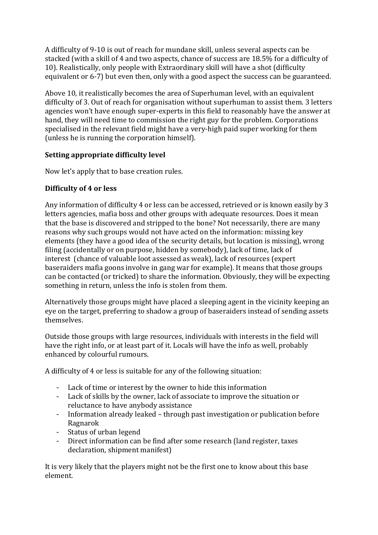A difficulty of 9-10 is out of reach for mundane skill, unless several aspects can be stacked (with a skill of 4 and two aspects, chance of success are 18.5% for a difficulty of 10). Realistically, only people with Extraordinary skill will have a shot (difficulty equivalent or 6-7) but even then, only with a good aspect the success can be guaranteed.

Above 10, it realistically becomes the area of Superhuman level, with an equivalent difficulty of 3. Out of reach for organisation without superhuman to assist them. 3 letters agencies won't have enough super-experts in this field to reasonably have the answer at hand, they will need time to commission the right guy for the problem. Corporations specialised in the relevant field might have a very-high paid super working for them (unless he is running the corporation himself).

# **Setting appropriate difficulty level**

Now let's apply that to base creation rules.

# **Difficulty of 4 or less**

Any information of difficulty 4 or less can be accessed, retrieved or is known easily by 3 letters agencies, mafia boss and other groups with adequate resources. Does it mean that the base is discovered and stripped to the bone? Not necessarily, there are many reasons why such groups would not have acted on the information: missing key elements (they have a good idea of the security details, but location is missing), wrong filing (accidentally or on purpose, hidden by somebody), lack of time, lack of interest (chance of valuable loot assessed as weak), lack of resources (expert baseraiders mafia goons involve in gang war for example). It means that those groups can be contacted (or tricked) to share the information. Obviously, they will be expecting something in return, unless the info is stolen from them.

Alternatively those groups might have placed a sleeping agent in the vicinity keeping an eye on the target, preferring to shadow a group of baseraiders instead of sending assets themselves.

Outside those groups with large resources, individuals with interests in the field will have the right info, or at least part of it. Locals will have the info as well, probably enhanced by colourful rumours.

A difficulty of 4 or less is suitable for any of the following situation:

- Lack of time or interest by the owner to hide this information
- Lack of skills by the owner, lack of associate to improve the situation or reluctance to have anybody assistance
- Information already leaked through past investigation or publication before Ragnarok
- Status of urban legend
- Direct information can be find after some research (land register, taxes declaration, shipment manifest)

It is very likely that the players might not be the first one to know about this base element.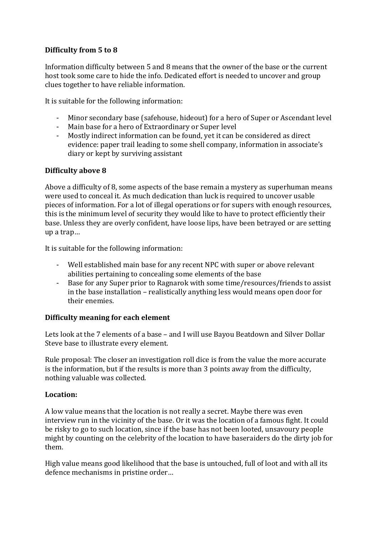## **Difficulty from 5 to 8**

Information difficulty between 5 and 8 means that the owner of the base or the current host took some care to hide the info. Dedicated effort is needed to uncover and group clues together to have reliable information.

It is suitable for the following information:

- Minor secondary base (safehouse, hideout) for a hero of Super or Ascendant level
- Main base for a hero of Extraordinary or Super level
- Mostly indirect information can be found, yet it can be considered as direct evidence: paper trail leading to some shell company, information in associate's diary or kept by surviving assistant

### **Difficulty above 8**

Above a difficulty of 8, some aspects of the base remain a mystery as superhuman means were used to conceal it. As much dedication than luck is required to uncover usable pieces of information. For a lot of illegal operations or for supers with enough resources, this is the minimum level of security they would like to have to protect efficiently their base. Unless they are overly confident, have loose lips, have been betrayed or are setting up a trap…

It is suitable for the following information:

- Well established main base for any recent NPC with super or above relevant abilities pertaining to concealing some elements of the base
- Base for any Super prior to Ragnarok with some time/resources/friends to assist in the base installation – realistically anything less would means open door for their enemies.

#### **Difficulty meaning for each element**

Lets look at the 7 elements of a base – and I will use Bayou Beatdown and Silver Dollar Steve base to illustrate every element.

Rule proposal: The closer an investigation roll dice is from the value the more accurate is the information, but if the results is more than 3 points away from the difficulty, nothing valuable was collected.

#### **Location:**

A low value means that the location is not really a secret. Maybe there was even interview run in the vicinity of the base. Or it was the location of a famous fight. It could be risky to go to such location, since if the base has not been looted, unsavoury people might by counting on the celebrity of the location to have baseraiders do the dirty job for them.

High value means good likelihood that the base is untouched, full of loot and with all its defence mechanisms in pristine order…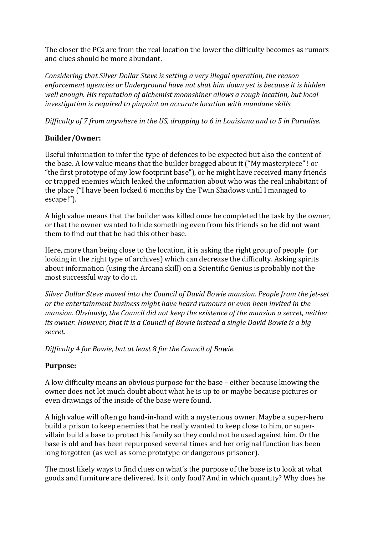The closer the PCs are from the real location the lower the difficulty becomes as rumors and clues should be more abundant.

*Considering that Silver Dollar Steve is setting a very illegal operation, the reason enforcement agencies or Underground have not shut him down yet is because it is hidden well enough. His reputation of alchemist moonshiner allows a rough location, but local investigation is required to pinpoint an accurate location with mundane skills.*

*Difficulty of 7 from anywhere in the US, dropping to 6 in Louisiana and to 5 in Paradise.*

# **Builder/Owner:**

Useful information to infer the type of defences to be expected but also the content of the base. A low value means that the builder bragged about it ("My masterpiece" ! or "the first prototype of my low footprint base"), or he might have received many friends or trapped enemies which leaked the information about who was the real inhabitant of the place ("I have been locked 6 months by the Twin Shadows until I managed to escape!").

A high value means that the builder was killed once he completed the task by the owner, or that the owner wanted to hide something even from his friends so he did not want them to find out that he had this other base.

Here, more than being close to the location, it is asking the right group of people (or looking in the right type of archives) which can decrease the difficulty. Asking spirits about information (using the Arcana skill) on a Scientific Genius is probably not the most successful way to do it.

*Silver Dollar Steve moved into the Council of David Bowie mansion. People from the jet-set or the entertainment business might have heard rumours or even been invited in the mansion. Obviously, the Council did not keep the existence of the mansion a secret, neither its owner. However, that it is a Council of Bowie instead a single David Bowie is a big secret.*

*Difficulty 4 for Bowie, but at least 8 for the Council of Bowie.*

## **Purpose:**

A low difficulty means an obvious purpose for the base – either because knowing the owner does not let much doubt about what he is up to or maybe because pictures or even drawings of the inside of the base were found.

A high value will often go hand-in-hand with a mysterious owner. Maybe a super-hero build a prison to keep enemies that he really wanted to keep close to him, or supervillain build a base to protect his family so they could not be used against him. Or the base is old and has been repurposed several times and her original function has been long forgotten (as well as some prototype or dangerous prisoner).

The most likely ways to find clues on what's the purpose of the base is to look at what goods and furniture are delivered. Is it only food? And in which quantity? Why does he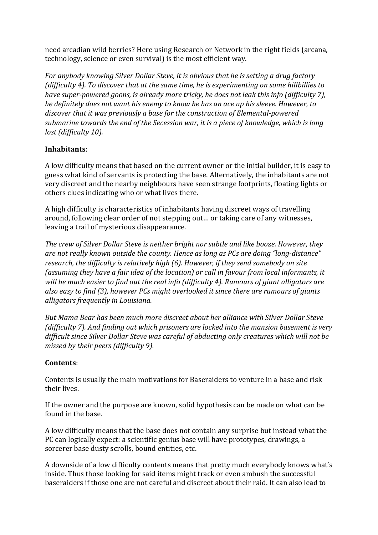need arcadian wild berries? Here using Research or Network in the right fields (arcana, technology, science or even survival) is the most efficient way.

*For anybody knowing Silver Dollar Steve, it is obvious that he is setting a drug factory (difficulty 4). To discover that at the same time, he is experimenting on some hillbillies to have super-powered goons, is already more tricky, he does not leak this info (difficulty 7), he definitely does not want his enemy to know he has an ace up his sleeve. However, to discover that it was previously a base for the construction of Elemental-powered submarine towards the end of the Secession war, it is a piece of knowledge, which is long lost (difficulty 10).*

## **Inhabitants**:

A low difficulty means that based on the current owner or the initial builder, it is easy to guess what kind of servants is protecting the base. Alternatively, the inhabitants are not very discreet and the nearby neighbours have seen strange footprints, floating lights or others clues indicating who or what lives there.

A high difficulty is characteristics of inhabitants having discreet ways of travelling around, following clear order of not stepping out… or taking care of any witnesses, leaving a trail of mysterious disappearance.

*The crew of Silver Dollar Steve is neither bright nor subtle and like booze. However, they are not really known outside the county. Hence as long as PCs are doing "long-distance" research, the difficulty is relatively high (6). However, if they send somebody on site (assuming they have a fair idea of the location) or call in favour from local informants, it will be much easier to find out the real info (difficulty 4). Rumours of giant alligators are also easy to find (3), however PCs might overlooked it since there are rumours of giants alligators frequently in Louisiana.*

*But Mama Bear has been much more discreet about her alliance with Silver Dollar Steve (difficulty 7). And finding out which prisoners are locked into the mansion basement is very difficult since Silver Dollar Steve was careful of abducting only creatures which will not be missed by their peers (difficulty 9).*

#### **Contents**:

Contents is usually the main motivations for Baseraiders to venture in a base and risk their lives.

If the owner and the purpose are known, solid hypothesis can be made on what can be found in the base.

A low difficulty means that the base does not contain any surprise but instead what the PC can logically expect: a scientific genius base will have prototypes, drawings, a sorcerer base dusty scrolls, bound entities, etc.

A downside of a low difficulty contents means that pretty much everybody knows what's inside. Thus those looking for said items might track or even ambush the successful baseraiders if those one are not careful and discreet about their raid. It can also lead to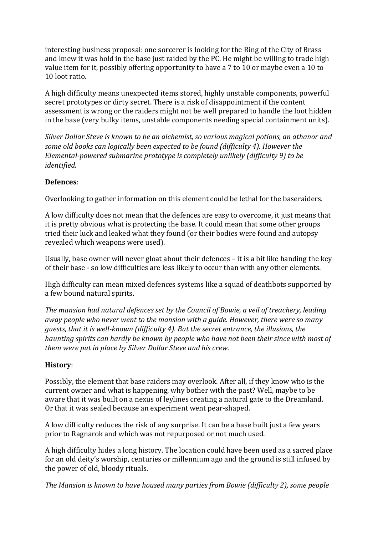interesting business proposal: one sorcerer is looking for the Ring of the City of Brass and knew it was hold in the base just raided by the PC. He might be willing to trade high value item for it, possibly offering opportunity to have a 7 to 10 or maybe even a 10 to 10 loot ratio.

A high difficulty means unexpected items stored, highly unstable components, powerful secret prototypes or dirty secret. There is a risk of disappointment if the content assessment is wrong or the raiders might not be well prepared to handle the loot hidden in the base (very bulky items, unstable components needing special containment units).

*Silver Dollar Steve is known to be an alchemist, so various magical potions, an athanor and some old books can logically been expected to be found (difficulty 4). However the Elemental-powered submarine prototype is completely unlikely (difficulty 9) to be identified.*

### **Defences**:

Overlooking to gather information on this element could be lethal for the baseraiders.

A low difficulty does not mean that the defences are easy to overcome, it just means that it is pretty obvious what is protecting the base. It could mean that some other groups tried their luck and leaked what they found (or their bodies were found and autopsy revealed which weapons were used).

Usually, base owner will never gloat about their defences – it is a bit like handing the key of their base - so low difficulties are less likely to occur than with any other elements.

High difficulty can mean mixed defences systems like a squad of deathbots supported by a few bound natural spirits.

*The mansion had natural defences set by the Council of Bowie, a veil of treachery, leading away people who never went to the mansion with a guide. However, there were so many guests, that it is well-known (difficulty 4). But the secret entrance, the illusions, the haunting spirits can hardly be known by people who have not been their since with most of them were put in place by Silver Dollar Steve and his crew.*

## **History**:

Possibly, the element that base raiders may overlook. After all, if they know who is the current owner and what is happening, why bother with the past? Well, maybe to be aware that it was built on a nexus of leylines creating a natural gate to the Dreamland. Or that it was sealed because an experiment went pear-shaped.

A low difficulty reduces the risk of any surprise. It can be a base built just a few years prior to Ragnarok and which was not repurposed or not much used.

A high difficulty hides a long history. The location could have been used as a sacred place for an old deity's worship, centuries or millennium ago and the ground is still infused by the power of old, bloody rituals.

*The Mansion is known to have housed many parties from Bowie (difficulty 2), some people*